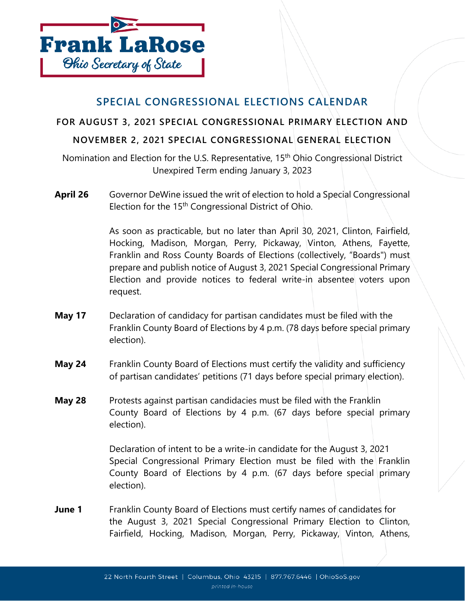

## **SPECIAL CONGRESSIONAL ELECTIONS CALENDAR**

**FOR AUGUST 3, 2021 SPECIAL CONGRESSIONAL PRIMARY ELECTION AND** 

## **NOVEMBER 2, 2021 SPECIAL CONGRESSIONAL GENERAL ELECTION**

Nomination and Election for the U.S. Representative, 15<sup>th</sup> Ohio Congressional District Unexpired Term ending January 3, 2023

**April 26** Governor DeWine issued the writ of election to hold a Special Congressional Election for the 15<sup>th</sup> Congressional District of Ohio.

> As soon as practicable, but no later than April 30, 2021, Clinton, Fairfield, Hocking, Madison, Morgan, Perry, Pickaway, Vinton, Athens, Fayette, Franklin and Ross County Boards of Elections (collectively, "Boards") must prepare and publish notice of August 3, 2021 Special Congressional Primary Election and provide notices to federal write-in absentee voters upon request.

- **May 17** Declaration of candidacy for partisan candidates must be filed with the Franklin County Board of Elections by 4 p.m. (78 days before special primary election).
- **May 24** Franklin County Board of Elections must certify the validity and sufficiency of partisan candidates' petitions (71 days before special primary election).
- **May 28** Protests against partisan candidacies must be filed with the Franklin County Board of Elections by 4 p.m. (67 days before special primary election).

Declaration of intent to be a write-in candidate for the August 3, 2021 Special Congressional Primary Election must be filed with the Franklin County Board of Elections by 4 p.m. (67 days before special primary election).

**June 1** Franklin County Board of Elections must certify names of candidates for the August 3, 2021 Special Congressional Primary Election to Clinton, Fairfield, Hocking, Madison, Morgan, Perry, Pickaway, Vinton, Athens,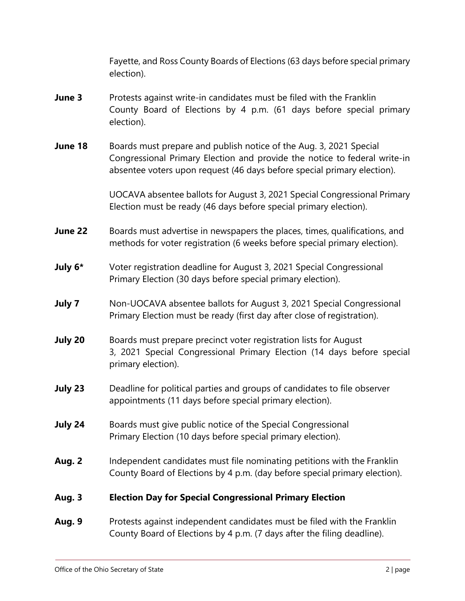Fayette, and Ross County Boards of Elections (63 days before special primary election).

- **June 3** Protests against write-in candidates must be filed with the Franklin County Board of Elections by 4 p.m. (61 days before special primary election).
- **June 18** Boards must prepare and publish notice of the Aug. 3, 2021 Special Congressional Primary Election and provide the notice to federal write-in absentee voters upon request (46 days before special primary election).

UOCAVA absentee ballots for August 3, 2021 Special Congressional Primary Election must be ready (46 days before special primary election).

- **June 22** Boards must advertise in newspapers the places, times, qualifications, and methods for voter registration (6 weeks before special primary election).
- **July 6\*** Voter registration deadline for August 3, 2021 Special Congressional Primary Election (30 days before special primary election).
- **July 7** Non-UOCAVA absentee ballots for August 3, 2021 Special Congressional Primary Election must be ready (first day after close of registration).
- **July 20** Boards must prepare precinct voter registration lists for August 3, 2021 Special Congressional Primary Election (14 days before special primary election).
- **July 23** Deadline for political parties and groups of candidates to file observer appointments (11 days before special primary election).
- **July 24** Boards must give public notice of the Special Congressional Primary Election (10 days before special primary election).
- **Aug. 2** Independent candidates must file nominating petitions with the Franklin County Board of Elections by 4 p.m. (day before special primary election).

## **Aug. 3 Election Day for Special Congressional Primary Election**

**Aug. 9** Protests against independent candidates must be filed with the Franklin County Board of Elections by 4 p.m. (7 days after the filing deadline).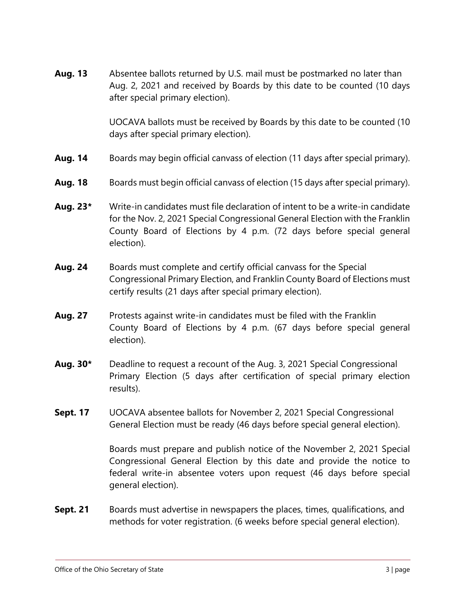**Aug. 13** Absentee ballots returned by U.S. mail must be postmarked no later than Aug. 2, 2021 and received by Boards by this date to be counted (10 days after special primary election).

> UOCAVA ballots must be received by Boards by this date to be counted (10 days after special primary election).

- **Aug. 14** Boards may begin official canvass of election (11 days after special primary).
- **Aug. 18** Boards must begin official canvass of election (15 days after special primary).
- **Aug. 23\*** Write-in candidates must file declaration of intent to be a write-in candidate for the Nov. 2, 2021 Special Congressional General Election with the Franklin County Board of Elections by 4 p.m. (72 days before special general election).
- **Aug. 24** Boards must complete and certify official canvass for the Special Congressional Primary Election, and Franklin County Board of Elections must certify results (21 days after special primary election).
- **Aug. 27** Protests against write-in candidates must be filed with the Franklin County Board of Elections by 4 p.m. (67 days before special general election).
- **Aug. 30\*** Deadline to request a recount of the Aug. 3, 2021 Special Congressional Primary Election (5 days after certification of special primary election results).
- **Sept. 17** UOCAVA absentee ballots for November 2, 2021 Special Congressional General Election must be ready (46 days before special general election).

Boards must prepare and publish notice of the November 2, 2021 Special Congressional General Election by this date and provide the notice to federal write-in absentee voters upon request (46 days before special general election).

**Sept. 21** Boards must advertise in newspapers the places, times, qualifications, and methods for voter registration. (6 weeks before special general election).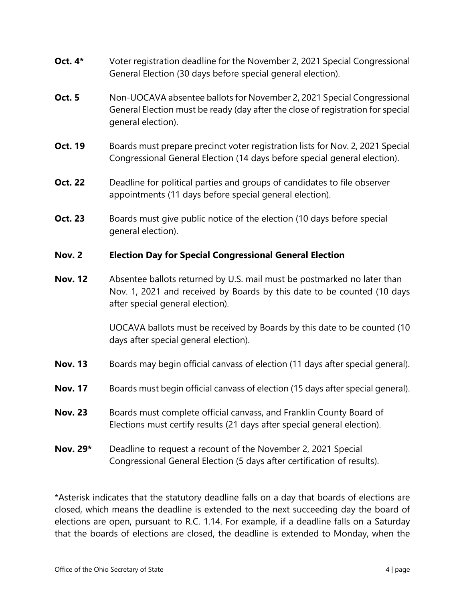- **Oct. 4\*** Voter registration deadline for the November 2, 2021 Special Congressional General Election (30 days before special general election).
- **Oct. 5** Non-UOCAVA absentee ballots for November 2, 2021 Special Congressional General Election must be ready (day after the close of registration for special general election).
- **Oct. 19** Boards must prepare precinct voter registration lists for Nov. 2, 2021 Special Congressional General Election (14 days before special general election).
- **Oct. 22** Deadline for political parties and groups of candidates to file observer appointments (11 days before special general election).
- **Oct. 23** Boards must give public notice of the election (10 days before special general election).

## **Nov. 2 Election Day for Special Congressional General Election**

**Nov. 12** Absentee ballots returned by U.S. mail must be postmarked no later than Nov. 1, 2021 and received by Boards by this date to be counted (10 days after special general election).

> UOCAVA ballots must be received by Boards by this date to be counted (10 days after special general election).

- **Nov. 13** Boards may begin official canvass of election (11 days after special general).
- **Nov. 17** Boards must begin official canvass of election (15 days after special general).
- **Nov. 23** Boards must complete official canvass, and Franklin County Board of Elections must certify results (21 days after special general election).
- **Nov. 29\*** Deadline to request a recount of the November 2, 2021 Special Congressional General Election (5 days after certification of results).

\*Asterisk indicates that the statutory deadline falls on a day that boards of elections are closed, which means the deadline is extended to the next succeeding day the board of elections are open, pursuant to R.C. 1.14. For example, if a deadline falls on a Saturday that the boards of elections are closed, the deadline is extended to Monday, when the